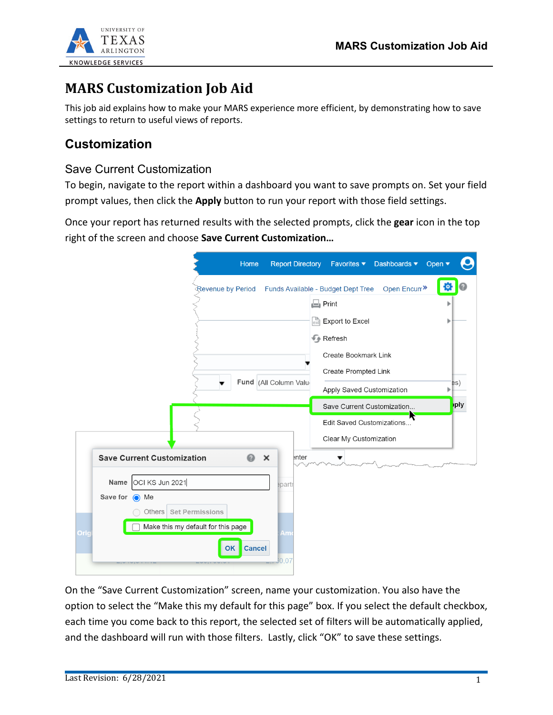

## **MARS Customization Job Aid**

This job aid explains how to make your MARS experience more efficient, by demonstrating how to save settings to return to useful views of reports.

## **Customization**

## Save Current Customization

To begin, navigate to the report within a dashboard you want to save prompts on. Set your field prompt values, then click the **Apply** button to run your report with those field settings.

Once your report has returned results with the selected prompts, click the **gear** icon in the top right of the screen and choose **Save Current Customization…**

| Home                                                       | <b>Report Directory</b> | Favorites $\blacktriangledown$     | Dashboards ▼            | Open $\blacktriangledown$ |
|------------------------------------------------------------|-------------------------|------------------------------------|-------------------------|---------------------------|
| Revenue by Period                                          |                         | Funds Available - Budget Dept Tree | Open Encum <sup>»</sup> | łQ.                       |
|                                                            |                         | $\Box$ Print                       |                         |                           |
|                                                            |                         | $\mathbb{R}^n$ Export to Excel     |                         |                           |
|                                                            |                         | Refresh                            |                         |                           |
|                                                            |                         | Create Bookmark Link               |                         |                           |
|                                                            | Fund (All Column Value  | Create Prompted Link               |                         | es)                       |
|                                                            |                         | Apply Saved Customization          |                         |                           |
|                                                            |                         | Save Current Customization         |                         | ply                       |
|                                                            |                         | Edit Saved Customizations          |                         |                           |
|                                                            |                         | Clear My Customization             |                         |                           |
| <b>Save Current Customization</b><br>$\boldsymbol{\Omega}$ | enter<br>$\times$       |                                    |                         |                           |
| OCI KS Jun 2021<br>Name                                    | epartr                  |                                    |                         |                           |
| Save for (a) Me                                            |                         |                                    |                         |                           |
| Others Set Permissions                                     |                         |                                    |                         |                           |
| Make this my default for this page<br>Orig                 | Am                      |                                    |                         |                           |
| Cancel<br><b>OK</b>                                        |                         |                                    |                         |                           |
|                                                            | 30.07                   |                                    |                         |                           |

On the "Save Current Customization" screen, name your customization. You also have the option to select the "Make this my default for this page" box. If you select the default checkbox, each time you come back to this report, the selected set of filters will be automatically applied, and the dashboard will run with those filters. Lastly, click "OK" to save these settings.